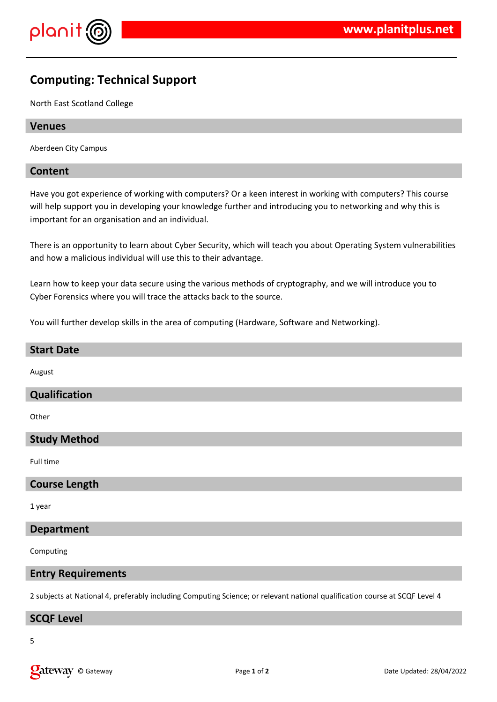

# **Computing: Technical Support**

North East Scotland College

# **Venues**

Aberdeen City Campus

#### **Content**

Have you got experience of working with computers? Or a keen interest in working with computers? This course will help support you in developing your knowledge further and introducing you to networking and why this is important for an organisation and an individual.

There is an opportunity to learn about Cyber Security, which will teach you about Operating System vulnerabilities and how a malicious individual will use this to their advantage.

Learn how to keep your data secure using the various methods of cryptography, and we will introduce you to Cyber Forensics where you will trace the attacks back to the source.

You will further develop skills in the area of computing (Hardware, Software and Networking).

# **Start Date**

August

# **Qualification**

**Other** 

# **Study Method**

Full time

#### **Course Length**

1 year

# **Department**

Computing

#### **Entry Requirements**

2 subjects at National 4, preferably including Computing Science; or relevant national qualification course at SCQF Level 4

#### **SCQF Level**